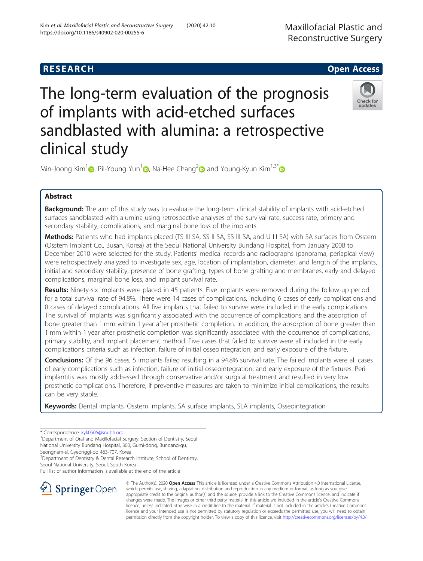# **RESEARCH CHE Open Access**

# The long-term evaluation of the prognosis of implants with acid-etched surfaces sandblasted with alumina: a retrospective clinical study



Min-Joong Kim<sup>1</sup> [,](https://orcid.org/0000-0001-6097-1229) Pil-Young Yun<sup>1</sup> , Na-Hee Chang<sup>2</sup> and Young-Kyun Kim<sup>1,3\*</sup>

# Abstract

Background: The aim of this study was to evaluate the long-term clinical stability of implants with acid-etched surfaces sandblasted with alumina using retrospective analyses of the survival rate, success rate, primary and secondary stability, complications, and marginal bone loss of the implants.

Methods: Patients who had implants placed (TS III SA, SS II SA, SS III SA, and U III SA) with SA surfaces from Osstem (Osstem Implant Co., Busan, Korea) at the Seoul National University Bundang Hospital, from January 2008 to December 2010 were selected for the study. Patients' medical records and radiographs (panorama, periapical view) were retrospectively analyzed to investigate sex, age, location of implantation, diameter, and length of the implants, initial and secondary stability, presence of bone grafting, types of bone grafting and membranes, early and delayed complications, marginal bone loss, and implant survival rate.

Results: Ninety-six implants were placed in 45 patients. Five implants were removed during the follow-up period for a total survival rate of 94.8%. There were 14 cases of complications, including 6 cases of early complications and 8 cases of delayed complications. All five implants that failed to survive were included in the early complications. The survival of implants was significantly associated with the occurrence of complications and the absorption of bone greater than 1 mm within 1 year after prosthetic completion. In addition, the absorption of bone greater than 1 mm within 1 year after prosthetic completion was significantly associated with the occurrence of complications, primary stability, and implant placement method. Five cases that failed to survive were all included in the early complications criteria such as infection, failure of initial osseointegration, and early exposure of the fixture.

Conclusions: Of the 96 cases, 5 implants failed resulting in a 94.8% survival rate. The failed implants were all cases of early complications such as infection, failure of initial osseointegration, and early exposure of the fixtures. Periimplantitis was mostly addressed through conservative and/or surgical treatment and resulted in very low prosthetic complications. Therefore, if preventive measures are taken to minimize initial complications, the results can be very stable.

Keywords: Dental implants, Osstem implants, SA surface implants, SLA implants, Osseointegration

Seongnam-si, Gyeonggi-do 463-707, Korea

<sup>3</sup> Department of Dentistry & Dental Research Institute, School of Dentistry, Seoul National University, Seoul, South Korea

Full list of author information is available at the end of the article



© The Author(s). 2020 Open Access This article is licensed under a Creative Commons Attribution 4.0 International License, which permits use, sharing, adaptation, distribution and reproduction in any medium or format, as long as you give appropriate credit to the original author(s) and the source, provide a link to the Creative Commons licence, and indicate if changes were made. The images or other third party material in this article are included in the article's Creative Commons licence, unless indicated otherwise in a credit line to the material. If material is not included in the article's Creative Commons licence and your intended use is not permitted by statutory regulation or exceeds the permitted use, you will need to obtain permission directly from the copyright holder. To view a copy of this licence, visit <http://creativecommons.org/licenses/by/4.0/>.

<sup>\*</sup> Correspondence: [kyk0505@snubh.org](mailto:kyk0505@snubh.org) <sup>1</sup>

<sup>&</sup>lt;sup>1</sup> Department of Oral and Maxillofacial Surgery, Section of Dentistry, Seoul

National University Bundang Hospital, 300, Gumi-dong, Bundang-gu,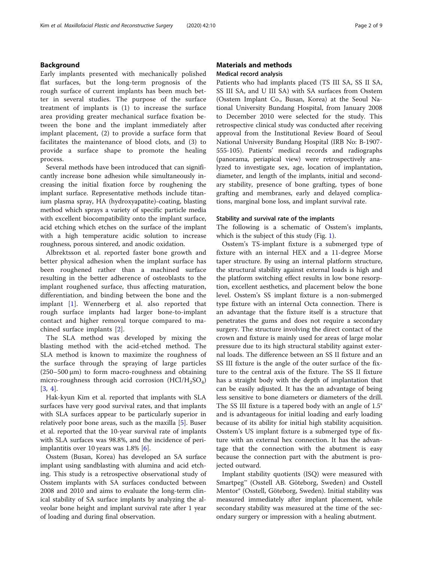# Background

Early implants presented with mechanically polished flat surfaces, but the long-term prognosis of the rough surface of current implants has been much better in several studies. The purpose of the surface treatment of implants is (1) to increase the surface area providing greater mechanical surface fixation between the bone and the implant immediately after implant placement, (2) to provide a surface form that facilitates the maintenance of blood clots, and (3) to provide a surface shape to promote the healing process.

Several methods have been introduced that can significantly increase bone adhesion while simultaneously increasing the initial fixation force by roughening the implant surface. Representative methods include titanium plasma spray, HA (hydroxyapatite)-coating, blasting method which sprays a variety of specific particle media with excellent biocompatibility onto the implant surface, acid etching which etches on the surface of the implant with a high temperature acidic solution to increase roughness, porous sintered, and anodic oxidation.

Albrektsson et al. reported faster bone growth and better physical adhesion when the implant surface has been roughened rather than a machined surface resulting in the better adherence of osteoblasts to the implant roughened surface, thus affecting maturation, differentiation, and binding between the bone and the implant [\[1](#page-7-0)]. Wennerberg et al. also reported that rough surface implants had larger bone-to-implant contact and higher removal torque compared to machined surface implants [[2](#page-7-0)].

The SLA method was developed by mixing the blasting method with the acid-etched method. The SLA method is known to maximize the roughness of the surface through the spraying of large particles  $(250-500 \,\mu m)$  to form macro-roughness and obtaining micro-roughness through acid corrosion  $(HCl/H_2SO_4)$ [[3,](#page-7-0) [4](#page-7-0)].

Hak-kyun Kim et al. reported that implants with SLA surfaces have very good survival rates, and that implants with SLA surfaces appear to be particularly superior in relatively poor bone areas, such as the maxilla [\[5\]](#page-7-0). Buser et al. reported that the 10-year survival rate of implants with SLA surfaces was 98.8%, and the incidence of periimplantitis over 10 years was 1.8% [\[6\]](#page-7-0).

Osstem (Busan, Korea) has developed an SA surface implant using sandblasting with alumina and acid etching. This study is a retrospective observational study of Osstem implants with SA surfaces conducted between 2008 and 2010 and aims to evaluate the long-term clinical stability of SA surface implants by analyzing the alveolar bone height and implant survival rate after 1 year of loading and during final observation.

# Materials and methods Medical record analysis

Patients who had implants placed (TS III SA, SS II SA, SS III SA, and U III SA) with SA surfaces from Osstem (Osstem Implant Co., Busan, Korea) at the Seoul National University Bundang Hospital, from January 2008 to December 2010 were selected for the study. This retrospective clinical study was conducted after receiving approval from the Institutional Review Board of Seoul National University Bundang Hospital (IRB No: B-1907- 555-105). Patients' medical records and radiographs (panorama, periapical view) were retrospectively analyzed to investigate sex, age, location of implantation, diameter, and length of the implants, initial and secondary stability, presence of bone grafting, types of bone grafting and membranes, early and delayed complications, marginal bone loss, and implant survival rate.

# Stability and survival rate of the implants

The following is a schematic of Osstem's implants, which is the subject of this study (Fig. [1\)](#page-2-0).

Osstem's TS-implant fixture is a submerged type of fixture with an internal HEX and a 11-degree Morse taper structure. By using an internal platform structure, the structural stability against external loads is high and the platform switching effect results in low bone resorption, excellent aesthetics, and placement below the bone level. Osstem's SS implant fixture is a non-submerged type fixture with an internal Octa connection. There is an advantage that the fixture itself is a structure that penetrates the gums and does not require a secondary surgery. The structure involving the direct contact of the crown and fixture is mainly used for areas of large molar pressure due to its high structural stability against external loads. The difference between an SS II fixture and an SS III fixture is the angle of the outer surface of the fixture to the central axis of the fixture. The SS II fixture has a straight body with the depth of implantation that can be easily adjusted. It has the an advantage of being less sensitive to bone diameters or diameters of the drill. The SS III fixture is a tapered body with an angle of 1.5° and is advantageous for initial loading and early loading because of its ability for initial high stability acquisition. Osstem's US implant fixture is a submerged type of fixture with an external hex connection. It has the advantage that the connection with the abutment is easy because the connection part with the abutment is projected outward.

Implant stability quotients (ISQ) were measured with Smartpeg™ (Osstell AB. Göteborg, Sweden) and Osstell Mentor® (Osstell, Göteborg, Sweden). Initial stability was measured immediately after implant placement, while secondary stability was measured at the time of the secondary surgery or impression with a healing abutment.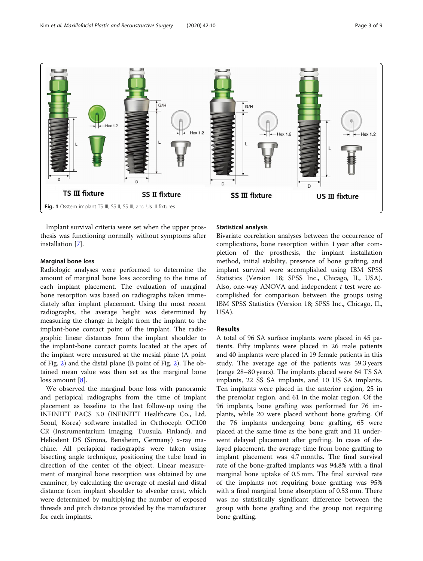<span id="page-2-0"></span>

Implant survival criteria were set when the upper prosthesis was functioning normally without symptoms after installation [[7\]](#page-7-0).

#### Marginal bone loss

Radiologic analyses were performed to determine the amount of marginal bone loss according to the time of each implant placement. The evaluation of marginal bone resorption was based on radiographs taken immediately after implant placement. Using the most recent radiographs, the average height was determined by measuring the change in height from the implant to the implant-bone contact point of the implant. The radiographic linear distances from the implant shoulder to the implant-bone contact points located at the apex of the implant were measured at the mesial plane (A point of Fig. [2](#page-3-0)) and the distal plane (B point of Fig. [2](#page-3-0)). The obtained mean value was then set as the marginal bone loss amount [[8](#page-7-0)].

We observed the marginal bone loss with panoramic and periapical radiographs from the time of implant placement as baseline to the last follow-up using the INFINITT PACS 3.0 (INFINITT Healthcare Co., Ltd. Seoul, Korea) software installed in Orthoceph OC100 CR (Instrumentarium Imaging, Tuusula, Finland), and Heliodent DS (Sirona, Bensheim, Germany) x-ray machine. All periapical radiographs were taken using bisecting angle technique, positioning the tube head in direction of the center of the object. Linear measurement of marginal bone resorption was obtained by one examiner, by calculating the average of mesial and distal distance from implant shoulder to alveolar crest, which were determined by multiplying the number of exposed threads and pitch distance provided by the manufacturer for each implants.

# Statistical analysis

Bivariate correlation analyses between the occurrence of complications, bone resorption within 1 year after completion of the prosthesis, the implant installation method, initial stability, presence of bone grafting, and implant survival were accomplished using IBM SPSS Statistics (Version 18; SPSS Inc., Chicago, IL, USA). Also, one-way ANOVA and independent  $t$  test were accomplished for comparison between the groups using IBM SPSS Statistics (Version 18; SPSS Inc., Chicago, IL, USA).

# Results

A total of 96 SA surface implants were placed in 45 patients. Fifty implants were placed in 26 male patients and 40 implants were placed in 19 female patients in this study. The average age of the patients was 59.3 years (range 28–80 years). The implants placed were 64 TS SA implants, 22 SS SA implants, and 10 US SA implants. Ten implants were placed in the anterior region, 25 in the premolar region, and 61 in the molar region. Of the 96 implants, bone grafting was performed for 76 implants, while 20 were placed without bone grafting. Of the 76 implants undergoing bone grafting, 65 were placed at the same time as the bone graft and 11 underwent delayed placement after grafting. In cases of delayed placement, the average time from bone grafting to implant placement was 4.7 months. The final survival rate of the bone-grafted implants was 94.8% with a final marginal bone uptake of 0.5 mm. The final survival rate of the implants not requiring bone grafting was 95% with a final marginal bone absorption of 0.53 mm. There was no statistically significant difference between the group with bone grafting and the group not requiring bone grafting.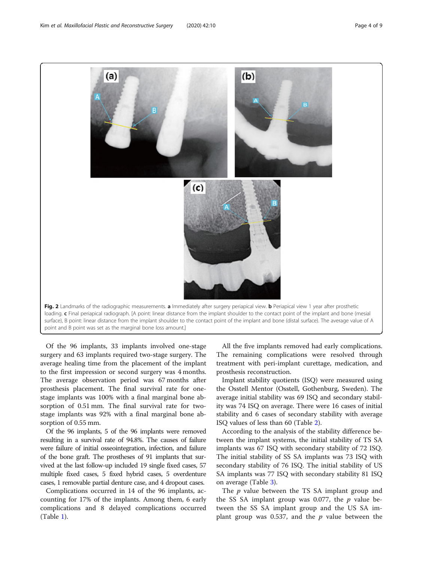<span id="page-3-0"></span>

Of the 96 implants, 33 implants involved one-stage surgery and 63 implants required two-stage surgery. The average healing time from the placement of the implant to the first impression or second surgery was 4 months. The average observation period was 67 months after prosthesis placement. The final survival rate for onestage implants was 100% with a final marginal bone absorption of 0.51 mm. The final survival rate for twostage implants was 92% with a final marginal bone absorption of 0.55 mm.

Of the 96 implants, 5 of the 96 implants were removed resulting in a survival rate of 94.8%. The causes of failure were failure of initial osseointegration, infection, and failure of the bone graft. The prostheses of 91 implants that survived at the last follow-up included 19 single fixed cases, 57 multiple fixed cases, 5 fixed hybrid cases, 5 overdenture cases, 1 removable partial denture case, and 4 dropout cases.

Complications occurred in 14 of the 96 implants, accounting for 17% of the implants. Among them, 6 early complications and 8 delayed complications occurred (Table [1\)](#page-4-0).

All the five implants removed had early complications. The remaining complications were resolved through treatment with peri-implant curettage, medication, and prosthesis reconstruction.

Implant stability quotients (ISQ) were measured using the Osstell Mentor (Osstell, Gothenburg, Sweden). The average initial stability was 69 ISQ and secondary stability was 74 ISQ on average. There were 16 cases of initial stability and 6 cases of secondary stability with average ISQ values of less than 60 (Table [2\)](#page-4-0).

According to the analysis of the stability difference between the implant systems, the initial stability of TS SA implants was 67 ISQ with secondary stability of 72 ISQ. The initial stability of SS SA implants was 73 ISQ with secondary stability of 76 ISQ. The initial stability of US SA implants was 77 ISQ with secondary stability 81 ISQ on average (Table [3\)](#page-4-0).

The  $p$  value between the TS SA implant group and the SS SA implant group was 0.077, the  $p$  value between the SS SA implant group and the US SA implant group was 0.537, and the  $p$  value between the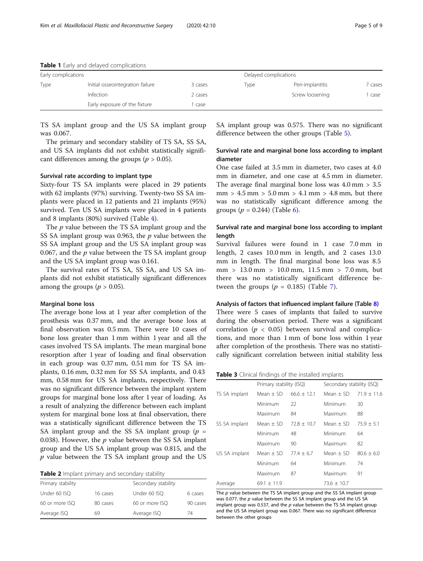| Early complications |                                  |         | Delayed complications |                  |                    |
|---------------------|----------------------------------|---------|-----------------------|------------------|--------------------|
| Type                | Initial osseointegration failure | 3 cases | Type                  | Peri-implantitis | <sup>7</sup> cases |
|                     | Infection                        | 2 cases |                       | Screw loosening  | case               |
|                     | Early exposure of the fixture    | case    |                       |                  |                    |

# <span id="page-4-0"></span>Table 1 Early and delayed complications

TS SA implant group and the US SA implant group was 0.067.

The primary and secondary stability of TS SA, SS SA, and US SA implants did not exhibit statistically significant differences among the groups ( $p > 0.05$ ).

# Survival rate according to implant type

Sixty-four TS SA implants were placed in 29 patients with 62 implants (97%) surviving. Twenty-two SS SA implants were placed in 12 patients and 21 implants (95%) survived. Ten US SA implants were placed in 4 patients and 8 implants (80%) survived (Table [4\)](#page-5-0).

The  $p$  value between the TS SA implant group and the SS SA implant group was 0.963, the  $p$  value between the SS SA implant group and the US SA implant group was 0.067, and the  $p$  value between the TS SA implant group and the US SA implant group was 0.161.

The survival rates of TS SA, SS SA, and US SA implants did not exhibit statistically significant differences among the groups ( $p > 0.05$ ).

# Marginal bone loss

The average bone loss at 1 year after completion of the prosthesis was 0.37 mm, and the average bone loss at final observation was 0.5 mm. There were 10 cases of bone loss greater than 1 mm within 1 year and all the cases involved TS SA implants. The mean marginal bone resorption after 1 year of loading and final observation in each group was 0.37 mm, 0.51 mm for TS SA implants, 0.16 mm, 0.32 mm for SS SA implants, and 0.43 mm, 0.58 mm for US SA implants, respectively. There was no significant difference between the implant system groups for marginal bone loss after 1 year of loading. As a result of analyzing the difference between each implant system for marginal bone loss at final observation, there was a statistically significant difference between the TS SA implant group and the SS SA implant group ( $p =$ 0.038). However, the  $p$  value between the SS SA implant group and the US SA implant group was 0.815, and the p value between the TS SA implant group and the US

|  |  |  |  | Table 2 Implant primary and secondary stability |  |
|--|--|--|--|-------------------------------------------------|--|
|--|--|--|--|-------------------------------------------------|--|

| Primary stability |          | Secondary stability |          |
|-------------------|----------|---------------------|----------|
| Under 60 ISQ      | 16 cases | Under 60 ISO        | 6 cases  |
| 60 or more ISO    | 80 cases | 60 or more ISO      | 90 cases |
| Average ISQ       | 69       | Average ISQ         | 74       |
|                   |          |                     |          |

SA implant group was 0.575. There was no significant difference between the other groups (Table [5\)](#page-5-0).

# Survival rate and marginal bone loss according to implant diameter

One case failed at 3.5 mm in diameter, two cases at 4.0 mm in diameter, and one case at 4.5 mm in diameter. The average final marginal bone loss was  $4.0 \text{ mm} > 3.5$  $mm > 4.5 mm > 5.0 mm > 4.1 mm > 4.8 mm$ , but there was no statistically significant difference among the groups  $(p = 0.244)$  (Table [6](#page-6-0)).

# Survival rate and marginal bone loss according to implant length

Survival failures were found in 1 case 7.0 mm in length, 2 cases 10.0 mm in length, and 2 cases 13.0 mm in length. The final marginal bone loss was 8.5 mm > 13.0 mm > 10.0 mm, 11.5 mm > 7.0 mm, but there was no statistically significant difference between the groups ( $p = 0.185$ ) (Table [7\)](#page-6-0).

## Analysis of factors that influenced implant failure (Table [8\)](#page-7-0)

There were 5 cases of implants that failed to survive during the observation period. There was a significant correlation ( $p < 0.05$ ) between survival and complications, and more than 1 mm of bone loss within 1 year after completion of the prosthesis. There was no statistically significant correlation between initial stability less

# Table 3 Clinical findings of the installed implants

|               | Primary stability (ISQ) |               | Secondary stability (ISQ) |                |  |
|---------------|-------------------------|---------------|---------------------------|----------------|--|
| TS SA implant | $Mean + SD$             | $66.6 + 12.1$ | Mean $+$ SD               | $71.9 + 11.6$  |  |
|               | Minimum                 | 22            | Minimum                   | 30             |  |
|               | Maximum                 | 84            | Maximum                   | 88             |  |
| SS SA implant | $Mean + SD$             | $72.8 + 10.7$ | $Mean + SD$               | $75.9 \pm 5.1$ |  |
|               | Minimum                 | 48            | Minimum                   | 64             |  |
|               | Maximum                 | 90            | Maximum                   | 82             |  |
| US SA implant | $Mean + SD$             | $77.4 + 6.7$  | $Mean + SD$               | $80.6 + 6.0$   |  |
|               | Minimum                 | 64            | Minimum                   | 74             |  |
|               | Maximum                 | 87            | Maximum                   | 91             |  |
| Average       | $69.1 \pm 11.9$         |               | $73.6 + 10.7$             |                |  |

The  $p$  value between the TS SA implant group and the SS SA implant group was 0.077, the p value between the SS SA implant group and the US SA implant group was 0.537, and the  $p$  value between the TS SA implant group and the US SA implant group was 0.067. There was no significant difference between the other groups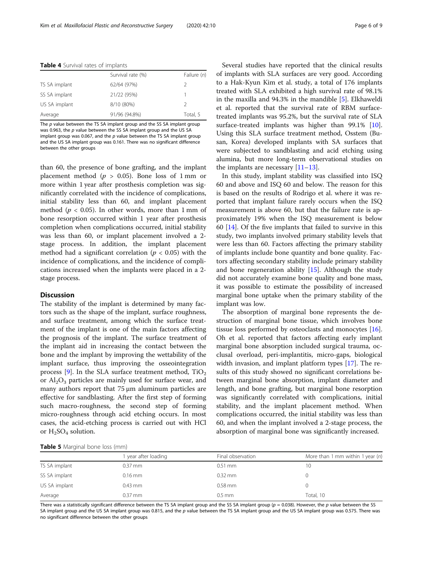|               | Survival rate (%) | Failure (n) |
|---------------|-------------------|-------------|
| TS SA implant | 62/64 (97%)       |             |
| SS SA implant | 21/22 (95%)       |             |
| US SA implant | 8/10 (80%)        |             |
| Average       | 91/96 (94.8%)     | Total, 5    |

<span id="page-5-0"></span>Table 4 Survival rates of implants

The  $p$  value between the TS SA implant group and the SS SA implant group was 0.963, the  $p$  value between the SS SA implant group and the US SA implant group was 0.067, and the  $p$  value between the TS SA implant group and the US SA implant group was 0.161. There was no significant difference between the other groups

than 60, the presence of bone grafting, and the implant placement method ( $p > 0.05$ ). Bone loss of 1 mm or more within 1 year after prosthesis completion was significantly correlated with the incidence of complications, initial stability less than 60, and implant placement method ( $p < 0.05$ ). In other words, more than 1 mm of bone resorption occurred within 1 year after prosthesis completion when complications occurred, initial stability was less than 60, or implant placement involved a 2 stage process. In addition, the implant placement method had a significant correlation ( $p < 0.05$ ) with the incidence of complications, and the incidence of complications increased when the implants were placed in a 2 stage process.

# **Discussion**

The stability of the implant is determined by many factors such as the shape of the implant, surface roughness, and surface treatment, among which the surface treatment of the implant is one of the main factors affecting the prognosis of the implant. The surface treatment of the implant aid in increasing the contact between the bone and the implant by improving the wettability of the implant surface, thus improving the osseointegration process [[9\]](#page-7-0). In the SLA surface treatment method,  $TiO<sub>2</sub>$ or  $Al_2O_3$  particles are mainly used for surface wear, and many authors report that 75 μm aluminum particles are effective for sandblasting. After the first step of forming such macro-roughness, the second step of forming micro-roughness through acid etching occurs. In most cases, the acid-etching process is carried out with HCl or  $H_2SO_4$  solution.

Several studies have reported that the clinical results of implants with SLA surfaces are very good. According to a Hak-Kyun Kim et al. study, a total of 176 implants treated with SLA exhibited a high survival rate of 98.1% in the maxilla and 94.3% in the mandible [[5\]](#page-7-0). Elkhaweldi et al. reported that the survival rate of RBM surfacetreated implants was 95.2%, but the survival rate of SLA surface-treated implants was higher than  $99.1\%$  [\[10](#page-7-0)]. Using this SLA surface treatment method, Osstem (Busan, Korea) developed implants with SA surfaces that were subjected to sandblasting and acid etching using alumina, but more long-term observational studies on the implants are necessary  $[11-13]$  $[11-13]$  $[11-13]$  $[11-13]$ .

In this study, implant stability was classified into ISQ 60 and above and ISQ 60 and below. The reason for this is based on the results of Rodrigo et al. where it was reported that implant failure rarely occurs when the ISQ measurement is above 60, but that the failure rate is approximately 19% when the ISQ measurement is below 60  $[14]$  $[14]$ . Of the five implants that failed to survive in this study, two implants involved primary stability levels that were less than 60. Factors affecting the primary stability of implants include bone quantity and bone quality. Factors affecting secondary stability include primary stability and bone regeneration ability [[15\]](#page-7-0). Although the study did not accurately examine bone quality and bone mass, it was possible to estimate the possibility of increased marginal bone uptake when the primary stability of the implant was low.

The absorption of marginal bone represents the destruction of marginal bone tissue, which involves bone tissue loss performed by osteoclasts and monocytes [\[16](#page-7-0)]. Oh et al. reported that factors affecting early implant marginal bone absorption included surgical trauma, occlusal overload, peri-implantitis, micro-gaps, biological width invasion, and implant platform types [\[17\]](#page-7-0). The results of this study showed no significant correlations between marginal bone absorption, implant diameter and length, and bone grafting, but marginal bone resorption was significantly correlated with complications, initial stability, and the implant placement method. When complications occurred, the initial stability was less than 60, and when the implant involved a 2-stage process, the absorption of marginal bone was significantly increased.

|  | Table 5 Marginal bone loss (mm) |  |  |  |  |
|--|---------------------------------|--|--|--|--|
|--|---------------------------------|--|--|--|--|

| <b>EXISTS S</b> IVIDED THE ROOTER 1033 (TERRITY) |                    |                   |                                    |  |  |
|--------------------------------------------------|--------------------|-------------------|------------------------------------|--|--|
|                                                  | year after loading | Final observation | More than 1 mm within 1 year $(n)$ |  |  |
| TS SA implant                                    | $0.37$ mm          | $0.51$ mm         | 10                                 |  |  |
| SS SA implant                                    | $0.16$ mm          | $0.32$ mm         |                                    |  |  |
| US SA implant                                    | $0.43$ mm          | $0.58$ mm         |                                    |  |  |
| Average                                          | $0.37$ mm          | $0.5$ mm          | Total, 10                          |  |  |

There was a statistically significant difference between the TS SA implant group and the SS SA implant group ( $p = 0.038$ ). However, the p value between the SS SA implant group and the US SA implant group was 0.815, and the p value between the TS SA implant group and the US SA implant group was 0.575. There was no significant difference between the other groups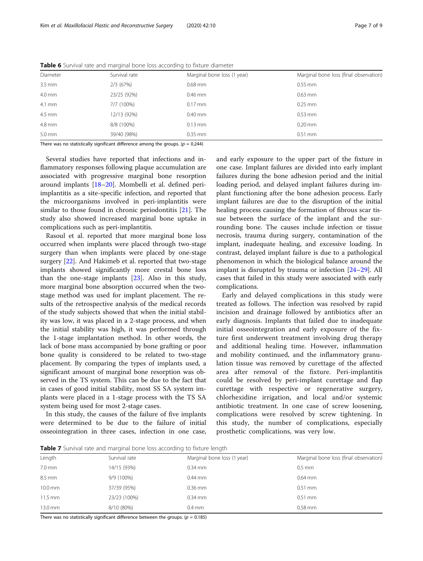| Diameter             | Survival rate | Marginal bone loss (1 year) | Marginal bone loss (final observation) |
|----------------------|---------------|-----------------------------|----------------------------------------|
| $3.5 \text{ mm}$     | 2/3(67%)      | $0.68$ mm                   | $0.55$ mm                              |
| 4.0 mm               | 23/25 (92%)   | $0.46$ mm                   | $0.63$ mm                              |
| $4.1 \text{ mm}$     | 7/7 (100%)    | $0.17$ mm                   | $0.25$ mm                              |
| $4.5$ mm             | 12/13 (92%)   | $0.40$ mm                   | $0.53$ mm                              |
| 4.8 mm               | 8/8 (100%)    | $0.13$ mm                   | $0.20$ mm                              |
| $5.0 \, \mathrm{mm}$ | 39/40 (98%)   | $0.35$ mm                   | $0.51$ mm                              |

<span id="page-6-0"></span>Table 6 Survival rate and marginal bone loss according to fixture diameter

There was no statistically significant difference among the groups. ( $p = 0.244$ )

Several studies have reported that infections and inflammatory responses following plaque accumulation are associated with progressive marginal bone resorption around implants [[18](#page-8-0)–[20](#page-8-0)]. Mombelli et al. defined periimplantitis as a site-specific infection, and reported that the microorganisms involved in peri-implantitis were similar to those found in chronic periodontitis [[21\]](#page-8-0). The study also showed increased marginal bone uptake in complications such as peri-implantitis.

Rasoul et al. reported that more marginal bone loss occurred when implants were placed through two-stage surgery than when implants were placed by one-stage surgery [[22\]](#page-8-0). And Hakimeb et al. reported that two-stage implants showed significantly more crestal bone loss than the one-stage implants [[23\]](#page-8-0). Also in this study, more marginal bone absorption occurred when the twostage method was used for implant placement. The results of the retrospective analysis of the medical records of the study subjects showed that when the initial stability was low, it was placed in a 2-stage process, and when the initial stability was high, it was performed through the 1-stage implantation method. In other words, the lack of bone mass accompanied by bone grafting or poor bone quality is considered to be related to two-stage placement. By comparing the types of implants used, a significant amount of marginal bone resorption was observed in the TS system. This can be due to the fact that in cases of good initial stability, most SS SA system implants were placed in a 1-stage process with the TS SA system being used for most 2-stage cases.

In this study, the causes of the failure of five implants were determined to be due to the failure of initial osseointegration in three cases, infection in one case, and early exposure to the upper part of the fixture in one case. Implant failures are divided into early implant failures during the bone adhesion period and the initial loading period, and delayed implant failures during implant functioning after the bone adhesion process. Early implant failures are due to the disruption of the initial healing process causing the formation of fibrous scar tissue between the surface of the implant and the surrounding bone. The causes include infection or tissue necrosis, trauma during surgery, contamination of the implant, inadequate healing, and excessive loading. In contrast, delayed implant failure is due to a pathological phenomenon in which the biological balance around the implant is disrupted by trauma or infection [\[24](#page-8-0)–[29\]](#page-8-0). All cases that failed in this study were associated with early complications.

Early and delayed complications in this study were treated as follows. The infection was resolved by rapid incision and drainage followed by antibiotics after an early diagnosis. Implants that failed due to inadequate initial osseointegration and early exposure of the fixture first underwent treatment involving drug therapy and additional healing time. However, inflammation and mobility continued, and the inflammatory granulation tissue was removed by curettage of the affected area after removal of the fixture. Peri-implantitis could be resolved by peri-implant curettage and flap curettage with respective or regenerative surgery, chlorhexidine irrigation, and local and/or systemic antibiotic treatment. In one case of screw loosening, complications were resolved by screw tightening. In this study, the number of complications, especially prosthetic complications, was very low.

|  |  |  | <b>Table 7</b> Survival rate and marginal bone loss according to fixture length |  |
|--|--|--|---------------------------------------------------------------------------------|--|
|--|--|--|---------------------------------------------------------------------------------|--|

| <b>TWINTS</b> 7 DOITTIVAL TACE AND THANGING NOTIC 1033 ACCORDING TO INTEGRATION INTO |               |                             |                                        |  |  |  |
|--------------------------------------------------------------------------------------|---------------|-----------------------------|----------------------------------------|--|--|--|
| Length                                                                               | Survival rate | Marginal bone loss (1 year) | Marginal bone loss (final observation) |  |  |  |
| $7.0$ mm                                                                             | 14/15 (93%)   | $0.34$ mm                   | $0.5$ mm                               |  |  |  |
| $8.5$ mm                                                                             | 9/9 (100%)    | $0.44$ mm                   | $0.64$ mm                              |  |  |  |
| 10.0 mm                                                                              | 37/39 (95%)   | $0.36$ mm                   | $0.51$ mm                              |  |  |  |
| $11.5 \text{ mm}$                                                                    | 23/23 (100%)  | $0.34$ mm                   | $0.51$ mm                              |  |  |  |
| $13.0 \text{ mm}$                                                                    | 8/10 (80%)    | $0.4 \text{ mm}$            | $0.58$ mm                              |  |  |  |
|                                                                                      |               |                             |                                        |  |  |  |

There was no statistically significant difference between the groups. ( $p = 0.185$ )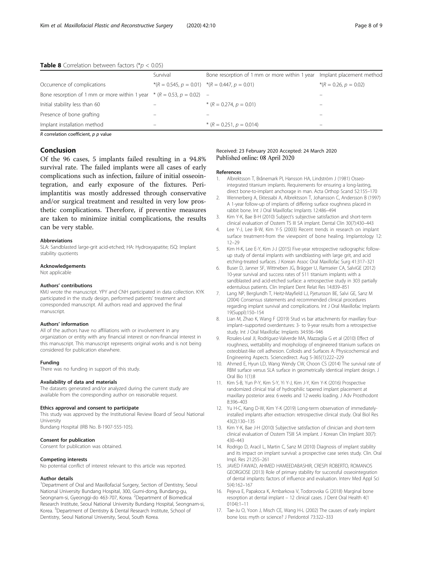<span id="page-7-0"></span>

|  | <b>Table 8</b> Correlation between factors (* $p < 0.05$ ) |  |  |  |  |  |  |
|--|------------------------------------------------------------|--|--|--|--|--|--|
|--|------------------------------------------------------------|--|--|--|--|--|--|

|                                                                         | Survival | Bone resorption of 1 mm or more within 1 year Implant placement method |                         |
|-------------------------------------------------------------------------|----------|------------------------------------------------------------------------|-------------------------|
| Occurrence of complications                                             |          | * $(R = 0.545, p = 0.01)$ * $(R = 0.447, p = 0.01)$                    | $*(R = 0.26, p = 0.02)$ |
| Bone resorption of 1 mm or more within 1 year $*(R = 0.53, p = 0.02)$ – |          |                                                                        |                         |
| Initial stability less than 60                                          |          | * $(R = 0.274, p = 0.01)$                                              |                         |
| Presence of bone grafting                                               |          |                                                                        |                         |
| Implant installation method                                             |          | * $(R = 0.251, p = 0.014)$                                             | -                       |
|                                                                         |          |                                                                        |                         |

 $R$  correlation coefficient,  $p$   $p$  value

# Conclusion

Of the 96 cases, 5 implants failed resulting in a 94.8% survival rate. The failed implants were all cases of early complications such as infection, failure of initial osseointegration, and early exposure of the fixtures. Periimplantitis was mostly addressed through conservative and/or surgical treatment and resulted in very low prosthetic complications. Therefore, if preventive measures are taken to minimize initial complications, the results can be very stable.

#### Abbreviations

SLA: Sandblasted large-grit acid-etched; HA: Hydroxyapatite; ISQ: Implant stability quotients

#### Acknowledgements

Not applicable

# Authors' contributions

KMJ wrote the manuscript. YPY and CNH participated in data collection. KYK participated in the study design, performed patients' treatment and corresponded manuscript. All authors read and approved the final manuscript.

# Authors' information

All of the authors have no affiliations with or involvement in any organization or entity with any financial interest or non-financial interest in this manuscript. This manuscript represents original works and is not being considered for publication elsewhere.

# Funding

There was no funding in support of this study.

# Availability of data and materials

The datasets generated and/or analyzed during the current study are available from the corresponding author on reasonable request.

#### Ethics approval and consent to participate

This study was approved by the Institutional Review Board of Seoul National University

Bundang Hospital (IRB No. B-1907-555-105).

# Consent for publication

Consent for publication was obtained.

#### Competing interests

No potential conflict of interest relevant to this article was reported.

# Author details

<sup>1</sup>Department of Oral and Maxillofacial Surgery, Section of Dentistry, Seoul National University Bundang Hospital, 300, Gumi-dong, Bundang-gu, Seongnam-si, Gyeonggi-do 463-707, Korea. <sup>2</sup>Department of Biomedical Research Institute, Seoul National University Bundang Hospital, Seongnam-si, Korea. <sup>3</sup> Department of Dentistry & Dental Research Institute, School of Dentistry, Seoul National University, Seoul, South Korea.

# Received: 23 February 2020 Accepted: 24 March 2020 Published online: 08 April 2020

#### References

- 1. Albrektsson T, Brånemark PI, Hansson HA, Lindström J (1981) Osseointegrated titanium implants. Requirements for ensuring a long-lasting, direct bone-to-implant anchorage in man. Acta Orthop Scand 52:155–170
- 2. Wennerberg A, Ektessabi A, Albrektsson T, Johansson C, Andersson B (1997) A 1-year follow-up of implants of differing surface roughness placed in rabbit bone. Int J Oral Maxillofac Implants 12:486–494
- 3. Kim Y-K, Bae B-H (2010) Subject's subjective satisfaction and short-term clinical evaluation of Osstem TS III SA implant. Dental Clin 30(7):430–443
- 4. Lee Y-J, Lee B-W, Kim Y-S (2003) Recent trends in research on implant surface treatment-from the viewpoint of bone healing. Implantology 12: 12–29
- 5. Kim H-K, Lee E-Y, Kim J-J (2015) Five-year retrospective radiographic followup study of dental implants with sandblasting with large grit, and acid etching-treated surfaces. J Korean Assoc Oral Maxillofac Surg 41:317–321
- 6. Buser D, Janner SF, Wittneben JG, Brägger U, Ramseier CA, SalviGE (2012) 10-year survival and success rates of 511 titanium implants with a sandblasted and acid-etched surface: a retrospective study in 303 partially edentulous patients. Clin Implant Dent Relat Res 14:839–851
- 7. Lang NP, Berglundh T, Heitz-Mayfield LJ, Pjetursson BE, Salvi GE, Sanz M (2004) Consensus statements and recommended clinical procedures regarding implant survival and complications. Int J Oral Maxillofac Implants 19(Suppl):150–154
- 8. Lian M, Zhao K, Wang F (2019) Stud vs bar attachments for maxillary fourimplant–supported overdentures: 3- to 9-year results from a retrospective study. Int J Oral Maxillofac Implants 34:936–946
- 9. Rosales-Leal JI, Rodríguez-Valverde MA, Mazzaglia G et al (2010) Effect of roughness, wettability and morphology of engineered titanium surfaces on osteoblast-like cell adhesion. Colloids and Surfaces A: Physicochemical and Engineering Aspects. Sciencedirect. Aug 5-365(1):222–229
- 10. Ahmed E, Hyun LD, Wang Wendy CW, Choon CS (2014) The survival rate of RBM surface versus SLA surface in geometrically identical implant design. J Oral Bio 1(1):8
- 11. Kim S-B, Yun P-Y, Kim S-Y, Yi Y-J, Kim J-Y, Kim Y-K (2016) Prospective randomized clinical trial of hydrophilic tapered implant placement at maxillary posterior area: 6 weeks and 12 weeks loading. J Adv Prosthodont 8:396–403
- 12. Yu H-C, Kang D-W, Kim Y-K (2019) Long-term observation of immediatelyinstalled implants after extraction: retrospective clinical study. Oral Biol Res 43(2):130–135
- 13. Kim Y-K, Bae J-H (2010) Subjective satisfaction of clinician and short-term clinical evaluation of Osstem TSIII SA implant. J Korean Clin Implant 30(7): 430–443
- 14. Rodrigo D, Aracil L, Martin C, Sanz M (2010) Diagnosis of implant stability and its impact on implant survival: a prospective case series study. Clin. Oral Impl. Res 21:255–261
- 15. JAVED FAWAD, AHMED HAMEEDABASHIR, CRESPI ROBERTO, ROMANOS GEORGIOSE (2013) Role of primary stability for successful osseointegration of dental implants: factors of influence and evaluation. Interv Med Appl Sci 5(4):162–167
- 16. Pejeva E, Papakoca K, Ambarkova V, Todorovska G (2018) Marginal bone resorption at dental implant – 12 clinical cases. J Dent Oral Health 4(1 0104):1–11
- 17. Tae-Ju O, Yoon J, Misch CE, Wang H-L (2002) The causes of early implant bone loss: myth or science? J Peridontol 73:322–333